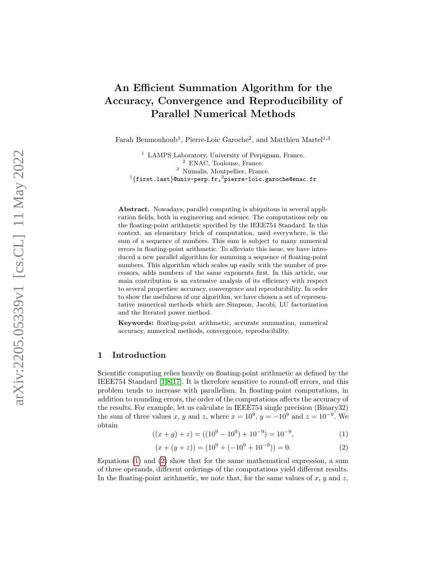# An Efficient Summation Algorithm for the Accuracy, Convergence and Reproducibility of Parallel Numerical Methods

Farah Benmouhoub<sup>1</sup>, Pierre-Loic Garoche<sup>2</sup>, and Matthieu Martel<sup>1,3</sup>

<sup>1</sup> LAMPS Laboratory, University of Perpignan, France. <sup>2</sup> ENAC, Toulouse, France. <sup>3</sup> Numalis, Montpellier, France.  $^1\{ \texttt{first-last} \}$ @univ-perp.fr, $^2$ pierre-loic.garoche@enac.fr

Abstract. Nowadays, parallel computing is ubiquitous in several application fields, both in engineering and science. The computations rely on the floating-point arithmetic specified by the IEEE754 Standard. In this context, an elementary brick of computation, used everywhere, is the sum of a sequence of numbers. This sum is subject to many numerical errors in floating-point arithmetic. To alleviate this issue, we have introduced a new parallel algorithm for summing a sequence of floating-point numbers. This algorithm which scales up easily with the number of processors, adds numbers of the same exponents first. In this article, our main contribution is an extensive analysis of its efficiency with respect to several properties: accuracy, convergence and reproducibility. In order to show the usefulness of our algorithm, we have chosen a set of representative numerical methods which are Simpson, Jacobi, LU factorization and the Iterated power method.

Keywords: floating-point arithmetic, accurate summation, numerical accuracy, numerical methods, convergence, reproducibility.

## 1 Introduction

Scientific computing relies heavily on floating-point arithmetic as defined by the IEEE754 Standard [\[1,](#page-15-0)[8](#page-15-1)[,17\]](#page-15-2). It is therefore sensitive to round-off errors, and this problem tends to increase with parallelism. In floating-point computations, in addition to rounding errors, the order of the computations affects the accuracy of the results. For example, let us calculate in IEEE754 single precision (Binary32) the sum of three values x, y and z, where  $x = 10^9$ ,  $y = -10^9$  and  $z = 10^{-9}$ . We obtain

<span id="page-0-0"></span>
$$
((x+y)+z) = ((109 - 109) + 10-9) = 10-9,
$$
\n(1)

<span id="page-0-1"></span>
$$
(x + (y + z)) = (109 + (-109 + 10-9)) = 0.
$$
 (2)

Equations [\(1\)](#page-0-0) and [\(2\)](#page-0-1) show that for the same mathematical expression, a sum of three operands, different orderings of the computations yield different results. In the floating-point arithmetic, we note that, for the same values of  $x, y$  and  $z$ ,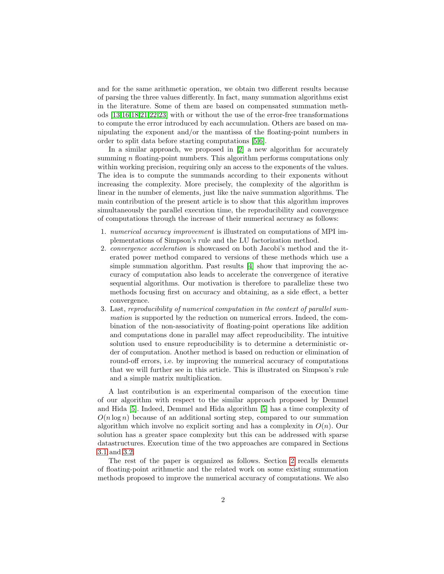and for the same arithmetic operation, we obtain two different results because of parsing the three values differently. In fact, many summation algorithms exist in the literature. Some of them are based on compensated summation methods [\[13](#page-15-3)[,16,](#page-15-4)[18,](#page-15-5)[21,](#page-16-0)[22](#page-16-1)[,23\]](#page-16-2) with or without the use of the error-free transformations to compute the error introduced by each accumulation. Others are based on manipulating the exponent and/or the mantissa of the floating-point numbers in order to split data before starting computations [\[5,](#page-15-6)[6\]](#page-15-7).

In a similar approach, we proposed in [\[2\]](#page-15-8) a new algorithm for accurately summing *n* floating-point numbers. This algorithm performs computations only within working precision, requiring only an access to the exponents of the values. The idea is to compute the summands according to their exponents without increasing the complexity. More precisely, the complexity of the algorithm is linear in the number of elements, just like the naive summation algorithms. The main contribution of the present article is to show that this algorithm improves simultaneously the parallel execution time, the reproducibility and convergence of computations through the increase of their numerical accuracy as follows:

- 1. numerical accuracy improvement is illustrated on computations of MPI implementations of Simpson's rule and the LU factorization method.
- 2. *convergence acceleration* is showcased on both Jacobi's method and the iterated power method compared to versions of these methods which use a simple summation algorithm. Past results [\[4\]](#page-15-9) show that improving the accuracy of computation also leads to accelerate the convergence of iterative sequential algorithms. Our motivation is therefore to parallelize these two methods focusing first on accuracy and obtaining, as a side effect, a better convergence.
- 3. Last, reproducibility of numerical computation in the context of parallel summation is supported by the reduction on numerical errors. Indeed, the combination of the non-associativity of floating-point operations like addition and computations done in parallel may affect reproducibility. The intuitive solution used to ensure reproducibility is to determine a deterministic order of computation. Another method is based on reduction or elimination of round-off errors, i.e. by improving the numerical accuracy of computations that we will further see in this article. This is illustrated on Simpson's rule and a simple matrix multiplication.

A last contribution is an experimental comparison of the execution time of our algorithm with respect to the similar approach proposed by Demmel and Hida [\[5\]](#page-15-6). Indeed, Demmel and Hida algorithm [\[5\]](#page-15-6) has a time complexity of  $O(n \log n)$  because of an additional sorting step, compared to our summation algorithm which involve no explicit sorting and has a complexity in  $O(n)$ . Our solution has a greater space complexity but this can be addressed with sparse datastructures. Execution time of the two approaches are compared in Sections [3.1](#page-6-0) and [3.2.](#page-8-0)

The rest of the paper is organized as follows. Section [2](#page-2-0) recalls elements of floating-point arithmetic and the related work on some existing summation methods proposed to improve the numerical accuracy of computations. We also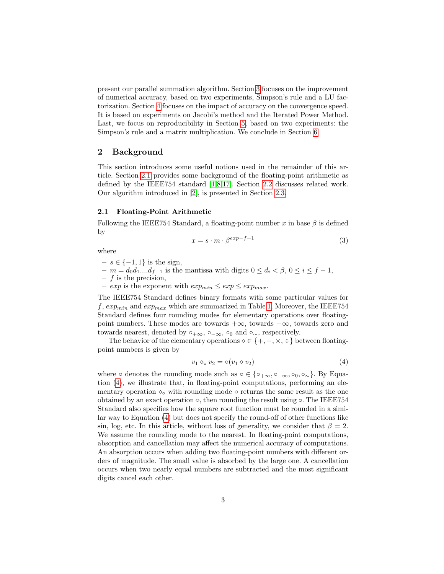present our parallel summation algorithm. Section [3](#page-5-0) focuses on the improvement of numerical accuracy, based on two experiments, Simpson's rule and a LU factorization. Section [4](#page-10-0) focuses on the impact of accuracy on the convergence speed. It is based on experiments on Jacobi's method and the Iterated Power Method. Last, we focus on reproducibility in Section [5,](#page-12-0) based on two experiments: the Simpson's rule and a matrix multiplication. We conclude in Section [6.](#page-14-0)

## <span id="page-2-0"></span>2 Background

This section introduces some useful notions used in the remainder of this article. Section [2.1](#page-2-1) provides some background of the floating-point arithmetic as defined by the IEEE754 standard [\[1,](#page-15-0)[8](#page-15-1)[,17\]](#page-15-2). Section [2.2](#page-3-0) discusses related work. Our algorithm introduced in [\[2\]](#page-15-8), is presented in Section [2.3.](#page-4-0)

#### <span id="page-2-1"></span>2.1 Floating-Point Arithmetic

Following the IEEE754 Standard, a floating-point number x in base  $\beta$  is defined by

$$
x = s \cdot m \cdot \beta^{exp-f+1} \tag{3}
$$

where

- $s \in \{-1, 1\}$  is the sign,
- $-m = d_0d_1...d_{f-1}$  is the mantissa with digits  $0 \leq d_i < \beta, 0 \leq i \leq f-1$ ,
- $f$  is the precision,
- $exp$  is the exponent with  $exp_{min} \leq exp \leq exp_{max}$ .

The IEEE754 Standard defines binary formats with some particular values for  $f, exp_{min}$  and  $exp_{max}$  which are summarized in Table [1.](#page-3-1) Moreover, the IEEE754 Standard defines four rounding modes for elementary operations over floatingpoint numbers. These modes are towards  $+\infty$ , towards  $-\infty$ , towards zero and towards nearest, denoted by  $\circ_{+\infty}$ ,  $\circ_{-\infty}$ ,  $\circ_0$  and  $\circ_{\sim}$ , respectively.

The behavior of the elementary operations  $\diamond \in \{+, -, \times, \div\}$  between floatingpoint numbers is given by

<span id="page-2-2"></span>
$$
v_1 \diamond_o v_2 = o(v_1 \diamond v_2) \tag{4}
$$

where ∘ denotes the rounding mode such as ∘ ∈ {∘<sub>+∞</sub>, ∘<sub>-∞</sub>, ∘<sub>0</sub>, ∘<sub>~</sub>}. By Equation [\(4\)](#page-2-2), we illustrate that, in floating-point computations, performing an elementary operation  $\circ_{\circ}$  with rounding mode  $\circ$  returns the same result as the one obtained by an exact operation  $\diamond$ , then rounding the result using  $\diamond$ . The IEEE754 Standard also specifies how the square root function must be rounded in a similar way to Equation [\(4\)](#page-2-2) but does not specify the round-off of other functions like sin, log, etc. In this article, without loss of generality, we consider that  $\beta = 2$ . We assume the rounding mode to the nearest. In floating-point computations, absorption and cancellation may affect the numerical accuracy of computations. An absorption occurs when adding two floating-point numbers with different orders of magnitude. The small value is absorbed by the large one. A cancellation occurs when two nearly equal numbers are subtracted and the most significant digits cancel each other.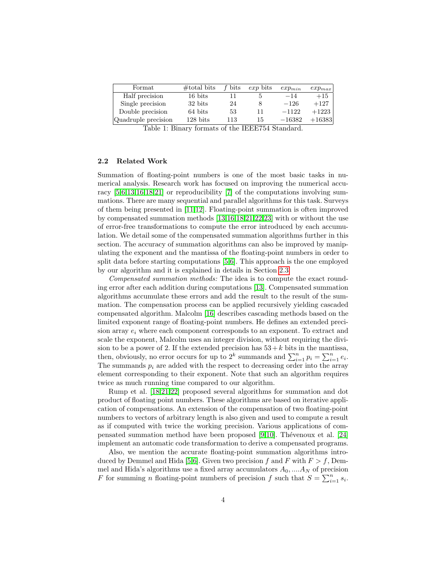<span id="page-3-1"></span>

| $\rm{Format}$       | $\#$ total bits    | f bits | exp bits | $exp_{min}$ | $exp_{max}$ |
|---------------------|--------------------|--------|----------|-------------|-------------|
| Half precision      | 16 bits            |        |          | $-14$       | $+15$       |
| Single precision    | 32 bits            | 24     |          | $-126$      | $+127$      |
| Double precision    | 64 bits            | 53     |          | $-1122$     | $+1223$     |
| Quadruple precision | $128 \text{ bits}$ | 113    | 15       | $-16382$    | $+16383$    |

Table 1: Binary formats of the IEEE754 Standard.

## <span id="page-3-0"></span>2.2 Related Work

Summation of floating-point numbers is one of the most basic tasks in numerical analysis. Research work has focused on improving the numerical accuracy [\[5,](#page-15-6)[6,](#page-15-7)[13](#page-15-3)[,16,](#page-15-4)[18,](#page-15-5)[21\]](#page-16-0) or reproducibility [\[7\]](#page-15-10) of the computations involving summations. There are many sequential and parallel algorithms for this task. Surveys of them being presented in [\[11,](#page-15-11)[12\]](#page-15-12). Floating-point summation is often improved by compensated summation methods [\[13](#page-15-3)[,16,](#page-15-4)[18,](#page-15-5)[21,](#page-16-0)[22](#page-16-1)[,23\]](#page-16-2) with or without the use of error-free transformations to compute the error introduced by each accumulation. We detail some of the compensated summation algorithms further in this section. The accuracy of summation algorithms can also be improved by manipulating the exponent and the mantissa of the floating-point numbers in order to split data before starting computations [\[5,](#page-15-6)[6\]](#page-15-7). This approach is the one employed by our algorithm and it is explained in details in Section [2.3.](#page-4-0)

Compensated summation methods: The idea is to compute the exact rounding error after each addition during computations [\[13\]](#page-15-3). Compensated summation algorithms accumulate these errors and add the result to the result of the summation. The compensation process can be applied recursively yielding cascaded compensated algorithm. Malcolm [\[16\]](#page-15-4) describes cascading methods based on the limited exponent range of floating-point numbers. He defines an extended precision array  $e_i$  where each component corresponds to an exponent. To extract and scale the exponent, Malcolm uses an integer division, without requiring the division to be a power of 2. If the extended precision has  $53 + k$  bits in the mantissa, then, obviously, no error occurs for up to  $2^k$  summands and  $\sum_{i=1}^n p_i = \sum_{i=1}^n e_i$ . The summands  $p_i$  are added with the respect to decreasing order into the array element corresponding to their exponent. Note that such an algorithm requires twice as much running time compared to our algorithm.

Rump et al. [\[18,](#page-15-5)[21](#page-16-0)[,22\]](#page-16-1) proposed several algorithms for summation and dot product of floating point numbers. These algorithms are based on iterative application of compensations. An extension of the compensation of two floating-point numbers to vectors of arbitrary length is also given and used to compute a result as if computed with twice the working precision. Various applications of compensated summation method have been proposed  $[9,10]$  $[9,10]$ . Thévenoux et al.  $[24]$ implement an automatic code transformation to derive a compensated programs.

Also, we mention the accurate floating-point summation algorithms intro-duced by Demmel and Hida [\[5](#page-15-6)[,6\]](#page-15-7). Given two precision f and F with  $F > f$ , Demmel and Hida's algorithms use a fixed array accumulators  $A_0$ , ...,  $A_N$  of precision F for summing *n* floating-point numbers of precision f such that  $S = \sum_{i=1}^{n} s_i$ .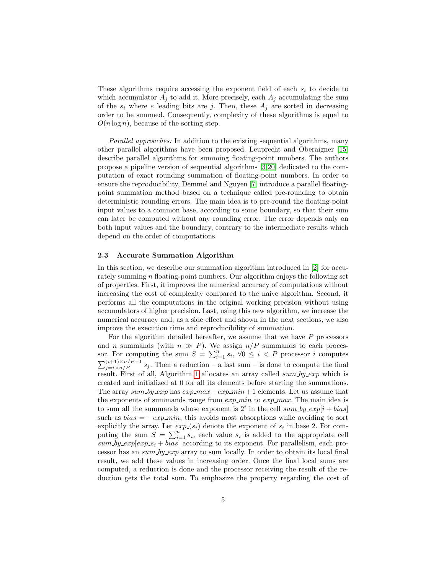These algorithms require accessing the exponent field of each  $s_i$  to decide to which accumulator  $A_j$  to add it. More precisely, each  $A_j$  accumulating the sum of the  $s_i$  where e leading bits are j. Then, these  $A_i$  are sorted in decreasing order to be summed. Consequently, complexity of these algorithms is equal to  $O(n \log n)$ , because of the sorting step.

Parallel approaches: In addition to the existing sequential algorithms, many other parallel algorithms have been proposed. Leuprecht and Oberaigner [\[15\]](#page-15-15) describe parallel algorithms for summing floating-point numbers. The authors propose a pipeline version of sequential algorithms [\[3](#page-15-16)[,20\]](#page-16-4) dedicated to the computation of exact rounding summation of floating-point numbers. In order to ensure the reproducibility, Demmel and Nguyen [\[7\]](#page-15-10) introduce a parallel floatingpoint summation method based on a technique called pre-rounding to obtain deterministic rounding errors. The main idea is to pre-round the floating-point input values to a common base, according to some boundary, so that their sum can later be computed without any rounding error. The error depends only on both input values and the boundary, contrary to the intermediate results which depend on the order of computations.

## <span id="page-4-0"></span>2.3 Accurate Summation Algorithm

In this section, we describe our summation algorithm introduced in [\[2\]](#page-15-8) for accurately summing  $n$  floating-point numbers. Our algorithm enjoys the following set of properties. First, it improves the numerical accuracy of computations without increasing the cost of complexity compared to the naive algorithm. Second, it performs all the computations in the original working precision without using accumulators of higher precision. Last, using this new algorithm, we increase the numerical accuracy and, as a side effect and shown in the next sections, we also improve the execution time and reproducibility of summation.

For the algorithm detailed hereafter, we assume that we have P processors and n summands (with  $n \gg P$ ). We assign  $n/P$  summands to each processor. For computing the sum  $S = \sum_{i=1}^{n} s_i, \forall 0 \leq i \leq P$  processor i computes  $\sum_{j=i \times n/P}^{(i+1) \times n/P - 1} s_j$ . Then a reduction – a last sum – is done to compute the final result. First of all, Algorithm [1](#page-5-1) allocates an array called  $sum-by-exp$  which is created and initialized at 0 for all its elements before starting the summations. The array sum by exp has  $exp\_max-exp\_min + 1$  elements. Let us assume that the exponents of summands range from  $exp\_min$  to  $exp\_max$ . The main idea is to sum all the summands whose exponent is  $2^i$  in the cell sum by  $\exp[i + bias]$ such as  $bias = -exp\_min$ , this avoids most absorptions while avoiding to sort explicitly the array. Let  $exp(s_i)$  denote the exponent of  $s_i$  in base 2. For computing the sum  $S = \sum_{i=1}^{n} s_i$ , each value  $s_i$  is added to the appropriate cell  $sum \text{log} \exp[exp\text{log} s_i + bias]$  according to its exponent. For parallelism, each processor has an  $sum \, by \, exp$  array to sum locally. In order to obtain its local final result, we add these values in increasing order. Once the final local sums are computed, a reduction is done and the processor receiving the result of the reduction gets the total sum. To emphasize the property regarding the cost of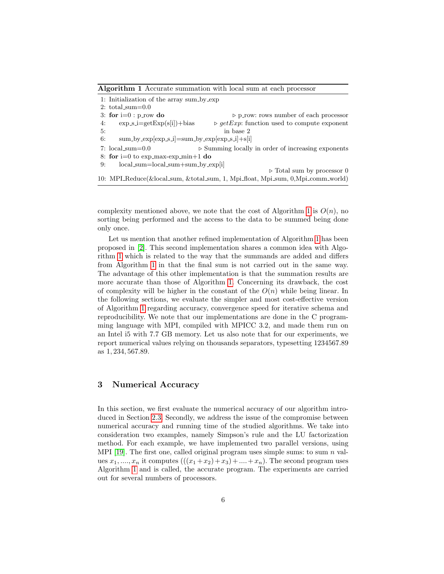<span id="page-5-1"></span>Algorithm 1 Accurate summation with local sum at each processor

1: Initialization of the array sum by exp  $2: total_sum=0.0$ 3: for  $i=0$ : p row do . p row: rows number of each processor 4:  $\exp(\text{sign}(s[i]) + \text{bias}$   $\Rightarrow \text{getExp}$ : function used to compute exponent 5: in base 2 6:  $sum_by-exp[exp.s.i]=sum_by-exp[exp.s.i]+s[i]$ 7:  $\text{local-sum}=0.0$   $\triangleright$  Summing locally in order of increasing exponents 8: for  $i=0$  to exp max-exp min+1 do 9: local sum=local sum+sum by exp[i]  $\triangleright$  Total sum by processor 0 10: MPI Reduce(&local sum, &total sum, 1, Mpi float, Mpi sum, 0,Mpi comm world)

complexity mentioned above, we note that the cost of Algorithm [1](#page-5-1) is  $O(n)$ , no sorting being performed and the access to the data to be summed being done only once.

Let us mention that another refined implementation of Algorithm [1](#page-5-1) has been proposed in [\[2\]](#page-15-8). This second implementation shares a common idea with Algorithm [1](#page-5-1) which is related to the way that the summands are added and differs from Algorithm [1](#page-5-1) in that the final sum is not carried out in the same way. The advantage of this other implementation is that the summation results are more accurate than those of Algorithm [1.](#page-5-1) Concerning its drawback, the cost of complexity will be higher in the constant of the  $O(n)$  while being linear. In the following sections, we evaluate the simpler and most cost-effective version of Algorithm [1](#page-5-1) regarding accuracy, convergence speed for iterative schema and reproducibility. We note that our implementations are done in the C programming language with MPI, compiled with MPICC 3.2, and made them run on an Intel i5 with 7.7 GB memory. Let us also note that for our experiments, we report numerical values relying on thousands separators, typesetting 1234567.89 as 1, 234, 567.89.

## <span id="page-5-0"></span>3 Numerical Accuracy

In this section, we first evaluate the numerical accuracy of our algorithm introduced in Section [2.3.](#page-4-0) Secondly, we address the issue of the compromise between numerical accuracy and running time of the studied algorithms. We take into consideration two examples, namely Simpson's rule and the LU factorization method. For each example, we have implemented two parallel versions, using MPI [\[19\]](#page-16-5). The first one, called original program uses simple sums: to sum  $n$  values  $x_1, \ldots, x_n$  it computes  $(((x_1 + x_2) + x_3) + \ldots + x_n)$ . The second program uses Algorithm [1](#page-5-1) and is called, the accurate program. The experiments are carried out for several numbers of processors.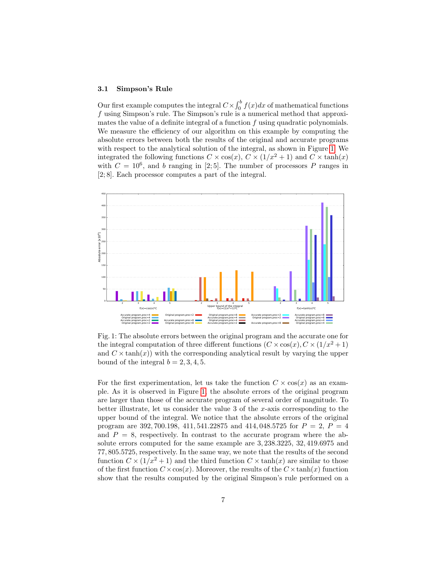#### <span id="page-6-0"></span>3.1 Simpson's Rule

Our first example computes the integral  $C \times \int_0^b f(x) dx$  of mathematical functions f using Simpson's rule. The Simpson's rule is a numerical method that approximates the value of a definite integral of a function  $f$  using quadratic polynomials. We measure the efficiency of our algorithm on this example by computing the absolute errors between both the results of the original and accurate programs with respect to the analytical solution of the integral, as shown in Figure [1.](#page-6-1) We integrated the following functions  $C \times \cos(x)$ ,  $C \times (1/x^2 + 1)$  and  $C \times \tanh(x)$ with  $C = 10^6$ , and b ranging in [2;5]. The number of processors P ranges in [2; 8]. Each processor computes a part of the integral.

<span id="page-6-1"></span>

Fig. 1: The absolute errors between the original program and the accurate one for the integral computation of three different functions  $(C \times \cos(x), C \times (1/x^2 + 1))$ and  $C \times \tanh(x)$  with the corresponding analytical result by varying the upper bound of the integral  $b = 2, 3, 4, 5$ .

For the first experimentation, let us take the function  $C \times \cos(x)$  as an example. As it is observed in Figure [1,](#page-6-1) the absolute errors of the original program are larger than those of the accurate program of several order of magnitude. To better illustrate, let us consider the value 3 of the x-axis corresponding to the upper bound of the integral. We notice that the absolute errors of the original program are 392, 700.198, 411, 541.22875 and 414, 048.5725 for  $P = 2$ ,  $P = 4$ and  $P = 8$ , respectively. In contrast to the accurate program where the absolute errors computed for the same example are 3, 238.3225, 32, 419.6975 and 77, 805.5725, respectively. In the same way, we note that the results of the second function  $C \times (1/x^2 + 1)$  and the third function  $C \times \tanh(x)$  are similar to those of the first function  $C \times \cos(x)$ . Moreover, the results of the  $C \times \tanh(x)$  function show that the results computed by the original Simpson's rule performed on a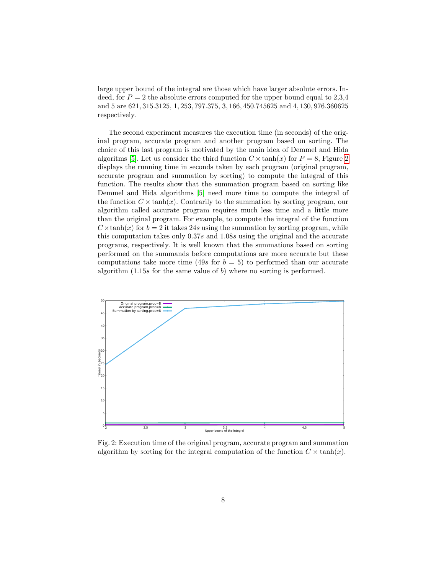large upper bound of the integral are those which have larger absolute errors. Indeed, for  $P = 2$  the absolute errors computed for the upper bound equal to 2,3,4 and 5 are 621, 315.3125, 1, 253, 797.375, 3, 166, 450.745625 and 4, 130, 976.360625 respectively.

The second experiment measures the execution time (in seconds) of the original program, accurate program and another program based on sorting. The choice of this last program is motivated by the main idea of Demmel and Hida algoritms [\[5\]](#page-15-6). Let us consider the third function  $C \times \tanh(x)$  for  $P = 8$ , Figure [2](#page-7-0) displays the running time in seconds taken by each program (original program, accurate program and summation by sorting) to compute the integral of this function. The results show that the summation program based on sorting like Demmel and Hida algorithms [\[5\]](#page-15-6) need more time to compute the integral of the function  $C \times \tanh(x)$ . Contrarily to the summation by sorting program, our algorithm called accurate program requires much less time and a little more than the original program. For example, to compute the integral of the function  $C \times \tanh(x)$  for  $b = 2$  it takes 24s using the summation by sorting program, while this computation takes only 0.37s and 1.08s using the original and the accurate programs, respectively. It is well known that the summations based on sorting performed on the summands before computations are more accurate but these computations take more time (49s for  $b = 5$ ) to performed than our accurate algorithm  $(1.15s)$  for the same value of b) where no sorting is performed.

<span id="page-7-0"></span>

Fig. 2: Execution time of the original program, accurate program and summation algorithm by sorting for the integral computation of the function  $C \times \tanh(x)$ .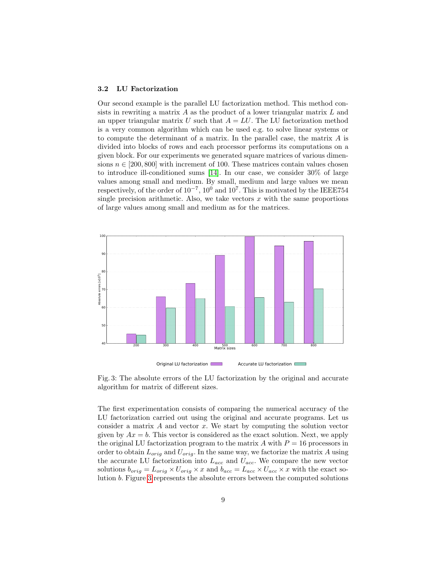#### <span id="page-8-0"></span>3.2 LU Factorization

Our second example is the parallel LU factorization method. This method consists in rewriting a matrix  $A$  as the product of a lower triangular matrix  $L$  and an upper triangular matrix U such that  $A = LU$ . The LU factorization method is a very common algorithm which can be used e.g. to solve linear systems or to compute the determinant of a matrix. In the parallel case, the matrix A is divided into blocks of rows and each processor performs its computations on a given block. For our experiments we generated square matrices of various dimensions  $n \in [200, 800]$  with increment of 100. These matrices contain values chosen to introduce ill-conditioned sums [\[14\]](#page-15-17). In our case, we consider 30% of large values among small and medium. By small, medium and large values we mean respectively, of the order of  $10^{-7}$ ,  $10^0$  and  $10^7$ . This is motivated by the IEEE754 single precision arithmetic. Also, we take vectors  $x$  with the same proportions of large values among small and medium as for the matrices.

<span id="page-8-1"></span>

Fig. 3: The absolute errors of the LU factorization by the original and accurate algorithm for matrix of different sizes.

The first experimentation consists of comparing the numerical accuracy of the LU factorization carried out using the original and accurate programs. Let us consider a matrix  $A$  and vector  $x$ . We start by computing the solution vector given by  $Ax = b$ . This vector is considered as the exact solution. Next, we apply the original LU factorization program to the matrix A with  $P = 16$  processors in order to obtain  $L_{orig}$  and  $U_{orig}$ . In the same way, we factorize the matrix A using the accurate LU factorization into  $L_{acc}$  and  $U_{acc}$ . We compare the new vector solutions  $b_{orig} = L_{orig} \times U_{orig} \times x$  and  $b_{acc} = L_{acc} \times U_{acc} \times x$  with the exact solution b. Figure [3](#page-8-1) represents the absolute errors between the computed solutions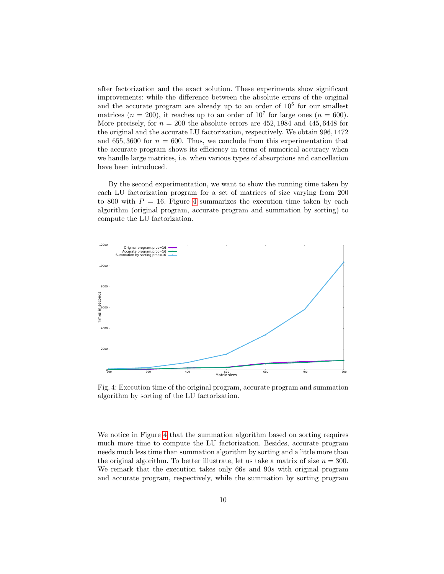after factorization and the exact solution. These experiments show significant improvements: while the difference between the absolute errors of the original and the accurate program are already up to an order of  $10<sup>5</sup>$  for our smallest matrices ( $n = 200$ ), it reaches up to an order of  $10<sup>7</sup>$  for large ones ( $n = 600$ ). More precisely, for  $n = 200$  the absolute errors are 452, 1984 and 445, 6448 for the original and the accurate LU factorization, respectively. We obtain 996, 1472 and 655, 3600 for  $n = 600$ . Thus, we conclude from this experimentation that the accurate program shows its efficiency in terms of numerical accuracy when we handle large matrices, i.e. when various types of absorptions and cancellation have been introduced.

By the second experimentation, we want to show the running time taken by each LU factorization program for a set of matrices of size varying from 200 to 800 with  $P = 16$ . Figure [4](#page-9-0) summarizes the execution time taken by each algorithm (original program, accurate program and summation by sorting) to compute the LU factorization.

<span id="page-9-0"></span>

Fig. 4: Execution time of the original program, accurate program and summation algorithm by sorting of the LU factorization.

We notice in Figure [4](#page-9-0) that the summation algorithm based on sorting requires much more time to compute the LU factorization. Besides, accurate program needs much less time than summation algorithm by sorting and a little more than the original algorithm. To better illustrate, let us take a matrix of size  $n = 300$ . We remark that the execution takes only 66s and 90s with original program and accurate program, respectively, while the summation by sorting program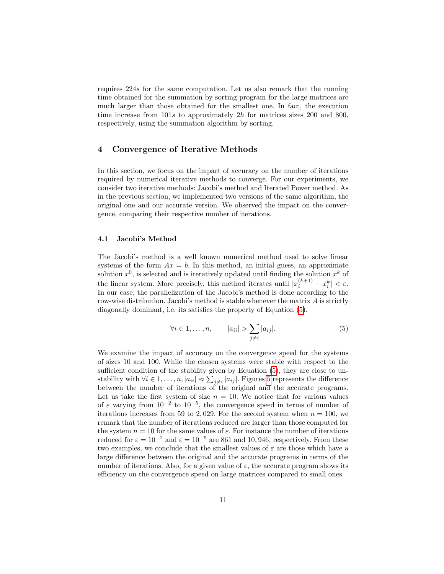requires 224s for the same computation. Let us also remark that the running time obtained for the summation by sorting program for the large matrices are much larger than those obtained for the smallest one. In fact, the execution time increase from 101s to approximately 2h for matrices sizes 200 and 800, respectively, using the summation algorithm by sorting.

## <span id="page-10-0"></span>4 Convergence of Iterative Methods

In this section, we focus on the impact of accuracy on the number of iterations required by numerical iterative methods to converge. For our experiments, we consider two iterative methods: Jacobi's method and Iterated Power method. As in the previous section, we implemented two versions of the same algorithm, the original one and our accurate version. We observed the impact on the convergence, comparing their respective number of iterations.

### 4.1 Jacobi's Method

The Jacobi's method is a well known numerical method used to solve linear systems of the form  $Ax = b$ . In this method, an initial guess, an approximate solution  $x^0$ , is selected and is iteratively updated until finding the solution  $x^k$  of the linear system. More precisely, this method iterates until  $|x_i^{(k+1)} - x_i^k| < \varepsilon$ . In our case, the parallelization of the Jacobi's method is done according to the row-wise distribution. Jacobi's method is stable whenever the matrix A is strictly diagonally dominant, i.e. its satisfies the property of Equation [\(5\)](#page-10-1).

<span id="page-10-1"></span>
$$
\forall i \in 1, \dots, n, \qquad |a_{ii}| > \sum_{j \neq i} |a_{ij}|. \tag{5}
$$

We examine the impact of accuracy on the convergence speed for the systems of sizes 10 and 100. While the chosen systems were stable with respect to the sufficient condition of the stability given by Equation [\(5\)](#page-10-1), they are close to unstability with  $\forall i \in 1, ..., n, |a_{ii}| \approx \sum_{j \neq i} |a_{ij}|$ . Figures [5](#page-11-0) represents the difference between the number of iterations of the original and the accurate programs. Let us take the first system of size  $n = 10$ . We notice that for various values of  $\varepsilon$  varying from  $10^{-2}$  to  $10^{-5}$ , the convergence speed in terms of number of iterations increases from 59 to 2,029. For the second system when  $n = 100$ , we remark that the number of iterations reduced are larger than those computed for the system  $n = 10$  for the same values of  $\varepsilon$ . For instance the number of iterations reduced for  $\varepsilon = 10^{-2}$  and  $\varepsilon = 10^{-5}$  are 861 and 10, 946, respectively. From these two examples, we conclude that the smallest values of  $\varepsilon$  are those which have a large difference between the original and the accurate programs in terms of the number of iterations. Also, for a given value of  $\varepsilon$ , the accurate program shows its efficiency on the convergence speed on large matrices compared to small ones.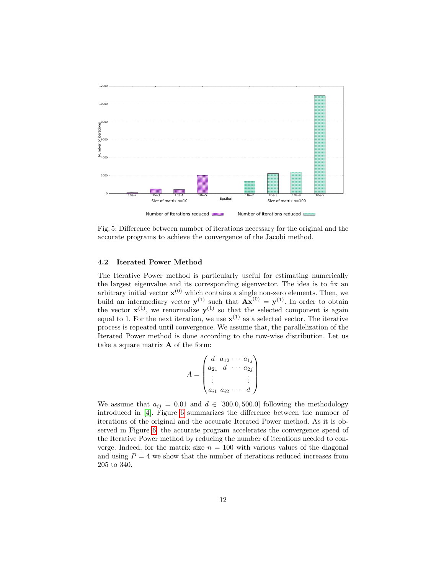<span id="page-11-0"></span>

Fig. 5: Difference between number of iterations necessary for the original and the accurate programs to achieve the convergence of the Jacobi method.

## 4.2 Iterated Power Method

The Iterative Power method is particularly useful for estimating numerically the largest eigenvalue and its corresponding eigenvector. The idea is to fix an arbitrary initial vector  $\mathbf{x}^{(0)}$  which contains a single non-zero elements. Then, we build an intermediary vector  $y^{(1)}$  such that  $Ax^{(0)} = y^{(1)}$ . In order to obtain the vector  $\mathbf{x}^{(1)}$ , we renormalize  $\mathbf{y}^{(1)}$  so that the selected component is again equal to 1. For the next iteration, we use  $\mathbf{x}^{(1)}$  as a selected vector. The iterative process is repeated until convergence. We assume that, the parallelization of the Iterated Power method is done according to the row-wise distribution. Let us take a square matrix  $A$  of the form:

$$
A = \begin{pmatrix} d & a_{12} & \cdots & a_{1j} \\ a_{21} & d & \cdots & a_{2j} \\ \vdots & & & \vdots \\ a_{i1} & a_{i2} & \cdots & d \end{pmatrix}
$$

We assume that  $a_{ij} = 0.01$  and  $d \in [300.0, 500.0]$  following the methodology introduced in [\[4\]](#page-15-9). Figure [6](#page-12-1) summarizes the difference between the number of iterations of the original and the accurate Iterated Power method. As it is observed in Figure [6,](#page-12-1) the accurate program accelerates the convergence speed of the Iterative Power method by reducing the number of iterations needed to converge. Indeed, for the matrix size  $n = 100$  with various values of the diagonal and using  $P = 4$  we show that the number of iterations reduced increases from 205 to 340.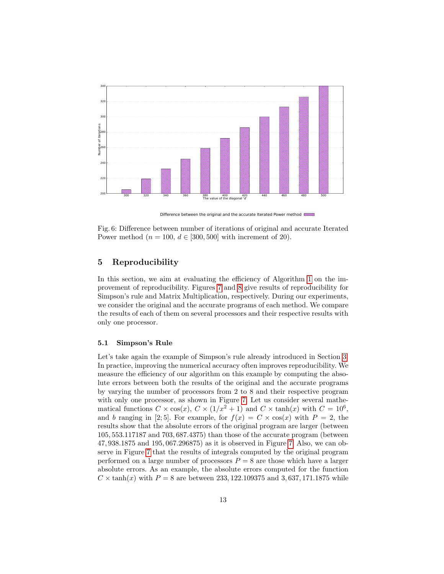<span id="page-12-1"></span>

Difference between the original and the accurate Iterated Power method

Fig. 6: Difference between number of iterations of original and accurate Iterated Power method ( $n = 100$ ,  $d \in [300, 500]$  with increment of 20).

## <span id="page-12-0"></span>5 Reproducibility

In this section, we aim at evaluating the efficiency of Algorithm [1](#page-5-1) on the improvement of reproducibility. Figures [7](#page-13-0) and [8](#page-14-1) give results of reproducibility for Simpson's rule and Matrix Multiplication, respectively. During our experiments, we consider the original and the accurate programs of each method. We compare the results of each of them on several processors and their respective results with only one processor.

## 5.1 Simpson's Rule

Let's take again the example of Simpson's rule already introduced in Section [3.](#page-5-0) In practice, improving the numerical accuracy often improves reproducibility. We measure the efficiency of our algorithm on this example by computing the absolute errors between both the results of the original and the accurate programs by varying the number of processors from 2 to 8 and their respective program with only one processor, as shown in Figure [7.](#page-13-0) Let us consider several mathematical functions  $C \times \cos(x)$ ,  $C \times (1/x^2 + 1)$  and  $C \times \tanh(x)$  with  $C = 10^6$ , and b ranging in [2;5]. For example, for  $f(x) = C \times \cos(x)$  with  $P = 2$ , the results show that the absolute errors of the original program are larger (between 105, 553.117187 and 703, 687.4375) than those of the accurate program (between 47, 938.1875 and 195, 067.296875) as it is observed in Figure [7.](#page-13-0) Also, we can observe in Figure [7](#page-13-0) that the results of integrals computed by the original program performed on a large number of processors  $P = 8$  are those which have a larger absolute errors. As an example, the absolute errors computed for the function  $C \times \tanh(x)$  with  $P = 8$  are between 233, 122.109375 and 3, 637, 171.1875 while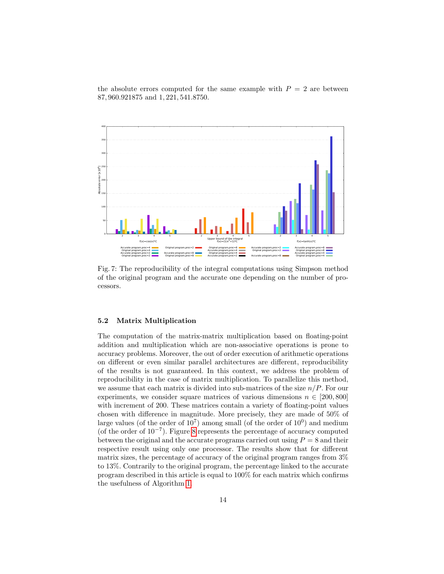the absolute errors computed for the same example with  $P = 2$  are between 87, 960.921875 and 1, 221, 541.8750.

<span id="page-13-0"></span>

Fig. 7: The reproducibility of the integral computations using Simpson method of the original program and the accurate one depending on the number of processors.

#### 5.2 Matrix Multiplication

The computation of the matrix-matrix multiplication based on floating-point addition and multiplication which are non-associative operations is prone to accuracy problems. Moreover, the out of order execution of arithmetic operations on different or even similar parallel architectures are different, reproducibility of the results is not guaranteed. In this context, we address the problem of reproducibility in the case of matrix multiplication. To parallelize this method, we assume that each matrix is divided into sub-matrices of the size  $n/P$ . For our experiments, we consider square matrices of various dimensions  $n \in [200, 800]$ with increment of 200. These matrices contain a variety of floating-point values chosen with difference in magnitude. More precisely, they are made of 50% of large values (of the order of  $10^7$ ) among small (of the order of  $10^0$ ) and medium (of the order of 10<sup>−</sup><sup>7</sup> ). Figure [8](#page-14-1) represents the percentage of accuracy computed between the original and the accurate programs carried out using  $P = 8$  and their respective result using only one processor. The results show that for different matrix sizes, the percentage of accuracy of the original program ranges from 3% to 13%. Contrarily to the original program, the percentage linked to the accurate program described in this article is equal to 100% for each matrix which confirms the usefulness of Algorithm [1.](#page-5-1)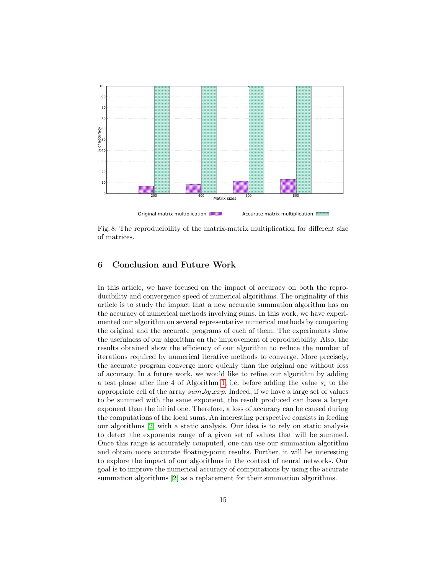<span id="page-14-1"></span>

Fig. 8: The reproducibility of the matrix-matrix multiplication for different size of matrices.

## <span id="page-14-0"></span>6 Conclusion and Future Work

In this article, we have focused on the impact of accuracy on both the reproducibility and convergence speed of numerical algorithms. The originality of this article is to study the impact that a new accurate summation algorithm has on the accuracy of numerical methods involving sums. In this work, we have experimented our algorithm on several representative numerical methods by comparing the original and the accurate programs of each of them. The experiments show the usefulness of our algorithm on the improvement of reproducibility. Also, the results obtained show the efficiency of our algorithm to reduce the number of iterations required by numerical iterative methods to converge. More precisely, the accurate program converge more quickly than the original one without loss of accuracy. In a future work, we would like to refine our algorithm by adding a test phase after line 4 of Algorithm [1,](#page-5-1) i.e. before adding the value  $s_i$  to the appropriate cell of the array  $sum_b y_c x p$ . Indeed, if we have a large set of values to be summed with the same exponent, the result produced can have a larger exponent than the initial one. Therefore, a loss of accuracy can be caused during the computations of the local sums. An interesting perspective consists in feeding our algorithms [\[2\]](#page-15-8) with a static analysis. Our idea is to rely on static analysis to detect the exponents range of a given set of values that will be summed. Once this range is accurately computed, one can use our summation algorithm and obtain more accurate floating-point results. Further, it will be interesting to explore the impact of our algorithms in the context of neural networks. Our goal is to improve the numerical accuracy of computations by using the accurate summation algorithms [\[2\]](#page-15-8) as a replacement for their summation algorithms.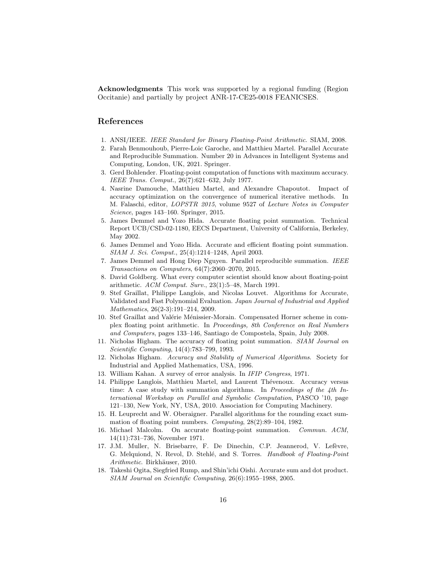Acknowledgments This work was supported by a regional funding (Region Occitanie) and partially by project ANR-17-CE25-0018 FEANICSES.

## References

- <span id="page-15-0"></span>1. ANSI/IEEE. IEEE Standard for Binary Floating-Point Arithmetic. SIAM, 2008.
- <span id="page-15-8"></span>2. Farah Benmouhoub, Pierre-Loic Garoche, and Matthieu Martel. Parallel Accurate and Reproducible Summation. Number 20 in Advances in Intelligent Systems and Computing, London, UK, 2021. Springer.
- <span id="page-15-16"></span>3. Gerd Bohlender. Floating-point computation of functions with maximum accuracy. IEEE Trans. Comput., 26(7):621–632, July 1977.
- <span id="page-15-9"></span>4. Nasrine Damouche, Matthieu Martel, and Alexandre Chapoutot. Impact of accuracy optimization on the convergence of numerical iterative methods. In M. Falaschi, editor, LOPSTR 2015, volume 9527 of Lecture Notes in Computer Science, pages 143–160. Springer, 2015.
- <span id="page-15-6"></span>5. James Demmel and Yozo Hida. Accurate floating point summation. Technical Report UCB/CSD-02-1180, EECS Department, University of California, Berkeley, May 2002.
- <span id="page-15-7"></span>6. James Demmel and Yozo Hida. Accurate and efficient floating point summation. SIAM J. Sci. Comput., 25(4):1214–1248, April 2003.
- <span id="page-15-10"></span>7. James Demmel and Hong Diep Nguyen. Parallel reproducible summation. IEEE Transactions on Computers, 64(7):2060–2070, 2015.
- <span id="page-15-1"></span>8. David Goldberg. What every computer scientist should know about floating-point arithmetic. ACM Comput. Surv., 23(1):5–48, March 1991.
- <span id="page-15-13"></span>9. Stef Graillat, Philippe Langlois, and Nicolas Louvet. Algorithms for Accurate, Validated and Fast Polynomial Evaluation. Japan Journal of Industrial and Applied Mathematics, 26(2-3):191–214, 2009.
- <span id="page-15-14"></span>10. Stef Graillat and Valérie Ménissier-Morain. Compensated Horner scheme in complex floating point arithmetic. In Proceedings, 8th Conference on Real Numbers and Computers, pages 133–146, Santiago de Compostela, Spain, July 2008.
- <span id="page-15-11"></span>11. Nicholas Higham. The accuracy of floating point summation. SIAM Journal on Scientific Computing, 14(4):783–799, 1993.
- <span id="page-15-12"></span>12. Nicholas Higham. Accuracy and Stability of Numerical Algorithms. Society for Industrial and Applied Mathematics, USA, 1996.
- <span id="page-15-3"></span>13. William Kahan. A survey of error analysis. In IFIP Congress, 1971.
- <span id="page-15-17"></span>14. Philippe Langlois, Matthieu Martel, and Laurent Thévenoux. Accuracy versus time: A case study with summation algorithms. In Proceedings of the 4th International Workshop on Parallel and Symbolic Computation, PASCO '10, page 121–130, New York, NY, USA, 2010. Association for Computing Machinery.
- <span id="page-15-15"></span>15. H. Leuprecht and W. Oberaigner. Parallel algorithms for the rounding exact summation of floating point numbers. Computing, 28(2):89–104, 1982.
- <span id="page-15-4"></span>16. Michael Malcolm. On accurate floating-point summation. Commun. ACM, 14(11):731–736, November 1971.
- <span id="page-15-2"></span>17. J.M. Muller, N. Brisebarre, F. De Dinechin, C.P. Jeannerod, V. Lefèvre, G. Melquiond, N. Revol, D. Stehlé, and S. Torres. Handbook of Floating-Point Arithmetic. Birkhäuser, 2010.
- <span id="page-15-5"></span>18. Takeshi Ogita, Siegfried Rump, and Shin'ichi Oishi. Accurate sum and dot product. SIAM Journal on Scientific Computing, 26(6):1955–1988, 2005.